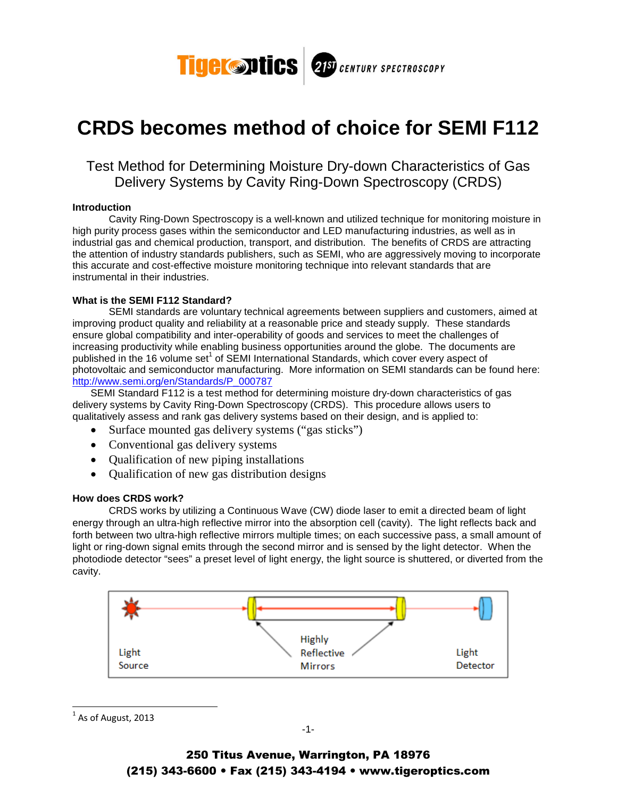

# **CRDS becomes method of choice for SEMI F112**

# Test Method for Determining Moisture Dry-down Characteristics of Gas Delivery Systems by Cavity Ring-Down Spectroscopy (CRDS)

## **Introduction**

Cavity Ring-Down Spectroscopy is a well-known and utilized technique for monitoring moisture in high purity process gases within the semiconductor and LED manufacturing industries, as well as in industrial gas and chemical production, transport, and distribution. The benefits of CRDS are attracting the attention of industry standards publishers, such as SEMI, who are aggressively moving to incorporate this accurate and cost-effective moisture monitoring technique into relevant standards that are instrumental in their industries.

# **What is the SEMI F112 Standard?**

 SEMI standards are voluntary technical agreements between suppliers and customers, aimed at improving product quality and reliability at a reasonable price and steady supply. These standards ensure global compatibility and inter-operability of goods and services to meet the challenges of increasing productivity while enabling business opportunities around the globe. The documents are published in the 16 volume set<sup>1</sup> of SEMI International Standards, which cover every aspect of photovoltaic and semiconductor manufacturing. More information on SEMI standards can be found here: http://www.semi.org/en/Standards/P\_000787

SEMI Standard F112 is a test method for determining moisture dry-down characteristics of gas delivery systems by Cavity Ring-Down Spectroscopy (CRDS). This procedure allows users to qualitatively assess and rank gas delivery systems based on their design, and is applied to:

- Surface mounted gas delivery systems ("gas sticks")
- Conventional gas delivery systems
- Qualification of new piping installations
- Qualification of new gas distribution designs

# **How does CRDS work?**

 CRDS works by utilizing a Continuous Wave (CW) diode laser to emit a directed beam of light energy through an ultra-high reflective mirror into the absorption cell (cavity). The light reflects back and forth between two ultra-high reflective mirrors multiple times; on each successive pass, a small amount of light or ring-down signal emits through the second mirror and is sensed by the light detector. When the photodiode detector "sees" a preset level of light energy, the light source is shuttered, or diverted from the cavity.



 $^{1}$  As of August, 2013

 $\overline{a}$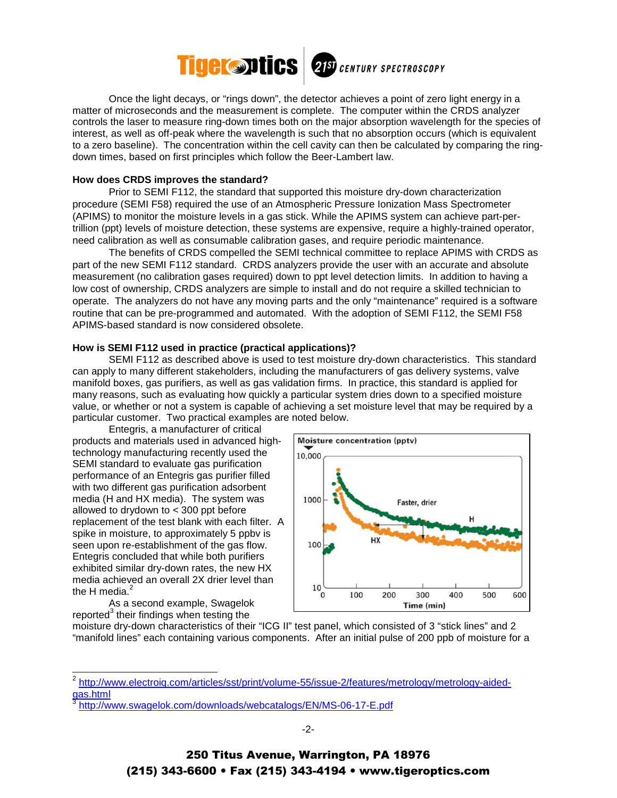

Once the light decays, or "rings down", the detector achieves a point of zero light energy in a matter of microseconds and the measurement is complete. The computer within the CRDS analyzer controls the laser to measure ring-down times both on the major absorption wavelength for the species of interest, as well as off-peak where the wavelength is such that no absorption occurs (which is equivalent to a zero baseline). The concentration within the cell cavity can then be calculated by comparing the ringdown times, based on first principles which follow the Beer-Lambert law.

#### **How does CRDS improves the standard?**

 Prior to SEMI F112, the standard that supported this moisture dry-down characterization procedure (SEMI F58) required the use of an Atmospheric Pressure Ionization Mass Spectrometer (APIMS) to monitor the moisture levels in a gas stick. While the APIMS system can achieve part-pertrillion (ppt) levels of moisture detection, these systems are expensive, require a highly-trained operator, need calibration as well as consumable calibration gases, and require periodic maintenance.

 The benefits of CRDS compelled the SEMI technical committee to replace APIMS with CRDS as part of the new SEMI F112 standard. CRDS analyzers provide the user with an accurate and absolute measurement (no calibration gases required) down to ppt level detection limits. In addition to having a low cost of ownership, CRDS analyzers are simple to install and do not require a skilled technician to operate. The analyzers do not have any moving parts and the only "maintenance" required is a software routine that can be pre-programmed and automated. With the adoption of SEMI F112, the SEMI F58 APIMS-based standard is now considered obsolete.

#### **How is SEMI F112 used in practice (practical applications)?**

 SEMI F112 as described above is used to test moisture dry-down characteristics. This standard can apply to many different stakeholders, including the manufacturers of gas delivery systems, valve manifold boxes, gas purifiers, as well as gas validation firms. In practice, this standard is applied for many reasons, such as evaluating how quickly a particular system dries down to a specified moisture value, or whether or not a system is capable of achieving a set moisture level that may be required by a particular customer. Two practical examples are noted below.

 Entegris, a manufacturer of critical products and materials used in advanced hightechnology manufacturing recently used the SEMI standard to evaluate gas purification performance of an Entegris gas purifier filled with two different gas purification adsorbent media (H and HX media). The system was allowed to drydown to < 300 ppt before replacement of the test blank with each filter. A spike in moisture, to approximately 5 ppbv is seen upon re-establishment of the gas flow. Entegris concluded that while both purifiers exhibited similar dry-down rates, the new HX media achieved an overall 2X drier level than the H media. $<sup>2</sup>$ </sup>

 As a second example, Swagelok  $reported<sup>3</sup>$  their findings when testing the



moisture dry-down characteristics of their "ICG II" test panel, which consisted of 3 "stick lines" and 2 "manifold lines" each containing various components. After an initial pulse of 200 ppb of moisture for a

<sup>&</sup>lt;sup>2</sup> http://www.electroiq.com/articles/sst/print/volume-55/issue-2/features/metrology/metrology-aidedgas.html

<sup>3</sup> http://www.swagelok.com/downloads/webcatalogs/EN/MS-06-17-E.pdf